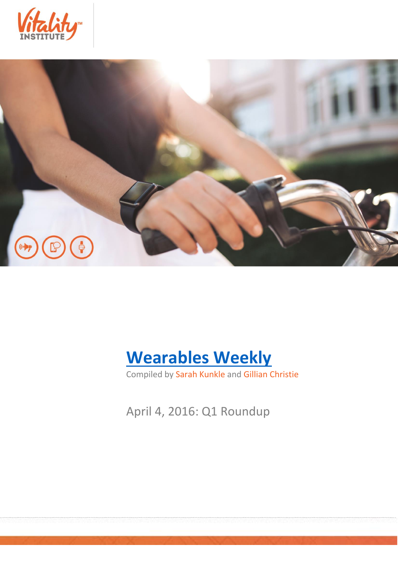





Compiled by Sarah Kunkle and Gillian Christie

April 4, 2016: Q1 Roundup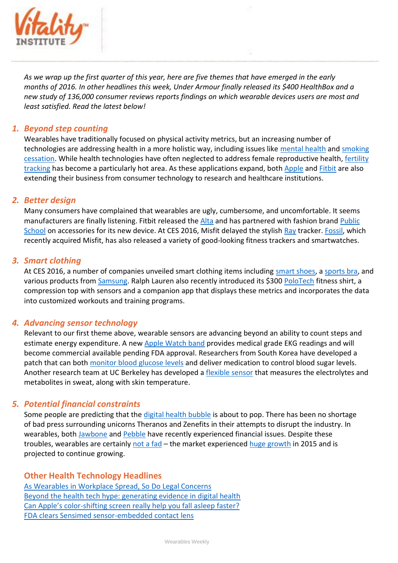

*As we wrap up the first quarter of this year, here are five themes that have emerged in the early months of 2016. In other headlines this week, Under Armour finally released its \$400 HealthBox and a new study of 136,000 consumer reviews reports findings on which wearable devices users are most and least satisfied. Read the latest below!*

# *1. Beyond step counting*

Wearables have traditionally focused on physical activity metrics, but an increasing number of technologies are addressing health in a more holistic way, including issues like [mental health](http://techcrunch.com/2016/03/14/blooming-stress/) and smoking [cessation.](http://mobihealthnews.com/content/wearable-smoking-cessation-reduces-cravings-small-trial) While health technologies have often neglected to address female reproductive health, [fertility](http://www.theguardian.com/technology/2016/mar/23/fitbit-for-your-period-the-rise-of-fertility-tracking)  [tracking](http://www.theguardian.com/technology/2016/mar/23/fitbit-for-your-period-the-rise-of-fertility-tracking) has become a particularly hot area. As these applications expand, both [Apple](http://www.informationweek.com/mobile/apple-carekit-researchkit-6-apps-aiming-for-a-healthier-world/d/d-id/1324852) and [Fitbit](http://medcitynews.com/2016/02/fitbit-and-healthcare-applications/?rf=1) are also extending their business from consumer technology to research and healthcare institutions.

## *2. Better design*

Many consumers have complained that wearables are ugly, cumbersome, and uncomfortable. It seems manufacturers are finally listening. Fitbit released th[e Alta](http://time.com/4263393/fitbit-alta-review/) and has partnered with fashion brand [Public](http://www.racked.com/2016/2/10/10951858/public-school-fitbit)  [School](http://www.racked.com/2016/2/10/10951858/public-school-fitbit) on accessories for its new device. At CES 2016, Misfit delayed the stylis[h Ray](http://www.theverge.com/2016/1/5/10714396/misift-ray-fitness-tracker-announced-ces-2016) tracker. [Fossil,](http://mashable.com/2016/01/05/fossil-smartwatches/#t1soXI3rzkqw) which recently acquired Misfit, has also released a variety of good-looking fitness trackers and smartwatches.

### *3. Smart clothing*

At CES 2016, a number of companies unveiled smart clothing items including [smart shoes,](http://www.pcworld.com/article/3020617/ces/altra-iq-smart-shoes-give-you-feedback-tips-to-improve-your-running-form.html) a [sports bra,](http://mashable.com/2016/01/07/ombra-sports-bra-fitness-tracker/#_BY3Naoge8qg) and various products from **Samsung.** Ralph Lauren also recently introduced its \$300 [PoloTech](http://www.engadget.com/2016/03/18/ralph-lauren-polotech-review/) fitness shirt, a compression top with sensors and a companion app that displays these metrics and incorporates the data into customized workouts and training programs.

## *4. Advancing sensor technology*

Relevant to our first theme above, wearable sensors are advancing beyond an ability to count steps and estimate energy expenditure. A new [Apple Watch band](http://techcrunch.com/2016/03/16/alivecor-unveils-kardia-band-a-medical-grade-ekg-band-for-apple-watch/) provides medical grade EKG readings and will become commercial available pending FDA approval. Researchers from South Korea have developed a patch that can both [monitor blood glucose levels](http://www.popsci.com/this-wearable-patch-uses-sweet-to-monitor-blood-glucose-levels) and deliver medication to control blood sugar levels. Another research team at UC Berkeley has developed a [flexible sensor](http://www.engadget.com/2016/01/27/flexible-sweat-sensors-monitor-fluids-while-you-exercise/) that measures the electrolytes and metabolites in sweat, along with skin temperature.

## *5. Potential financial constraints*

Some people are predicting that the [digital health bubble](http://www.fastcompany.com/3057341/investors-dumb-money-for-digital-health-will-vanish-as-quickly-as-it-came-in) is about to pop. There has been no shortage of bad press surrounding unicorns Theranos and Zenefits in their attempts to disrupt the industry. In wearables, both [Jawbone](http://mobihealthnews.com/content/jawbone-adds-165m-loses-new-president-and-half-its-valuation) and [Pebble](http://www.theverge.com/2016/3/23/11292742/pebble-laying-off-25-percent-of-staff) have recently experienced financial issues. Despite these troubles, wearables are certainly [not a fad](https://www.washingtonpost.com/news/the-switch/wp/2016/03/24/what-pebbles-layoffs-can-tell-us-about-the-market-for-smartwatches/?tid=sm_tw) - the market experienced [huge growth](http://www.idc.com/getdoc.jsp?containerId=prUS41037416) in 2015 and is projected to continue growing.

## **Other Health Technology Headlines**

[As Wearables in Workplace Spread, So Do Legal Concerns](http://www.wsj.com/articles/as-wearables-in-workplace-spread-so-do-legal-concerns-1457921550) [Beyond the health tech hype: generating evidence in digital health](http://rockhealth.com/beyond-the-health-tech-hype-generating-evidence-in-digital-health/) Can Apple's color[-shifting screen really help you fall asleep faster?](http://www.theverge.com/2016/3/29/11326194/apple-night-shift-blue-light-sleep) [FDA clears Sensimed sensor-embedded contact lens](http://www.massdevice.com/fda-clears-sensimed-sensor-embedded-contact-lens/)